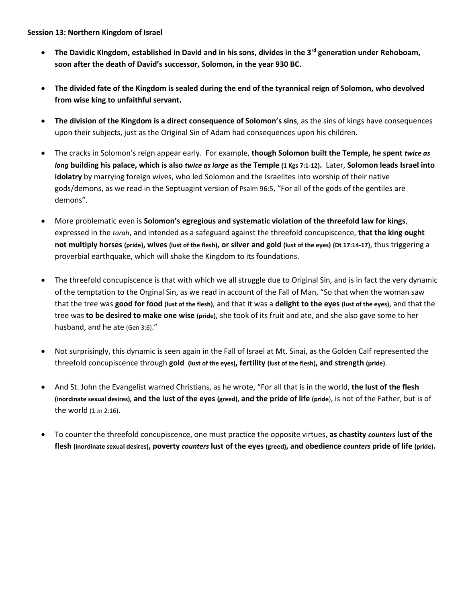## **Session 13: Northern Kingdom of Israel**

- **The Davidic Kingdom, established in David and in his sons, divides in the 3rd generation under Rehoboam, soon after the death of David's successor, Solomon, in the year 930 BC.**
- **The divided fate of the Kingdom is sealed during the end of the tyrannical reign of Solomon, who devolved from wise king to unfaithful servant.**
- **The division of the Kingdom is a direct consequence of Solomon's sins**, as the sins of kings have consequences upon their subjects, just as the Original Sin of Adam had consequences upon his children.
- The cracks in Solomon's reign appear early. For example, **though Solomon built the Temple, he spent** *twice as long* **building his palace, which is also** *twice as large* **as the Temple (1 Kgs 7:1-12).** Later, **Solomon leads Israel into idolatry** by marrying foreign wives, who led Solomon and the Israelites into worship of their native gods/demons, as we read in the Septuagint version of Psalm 96:5, "For all of the gods of the gentiles are demons".
- More problematic even is **Solomon's egregious and systematic violation of the threefold law for kings**, expressed in the *torah*, and intended as a safeguard against the threefold concupiscence, **that the king ought not multiply horses (pride), wives (lust of the flesh), or silver and gold (lust of the eyes) (Dt 17:14-17)**, thus triggering a proverbial earthquake, which will shake the Kingdom to its foundations.
- The threefold concupiscence is that with which we all struggle due to Original Sin, and is in fact the very dynamic of the temptation to the Orginal Sin, as we read in account of the Fall of Man, "So that when the woman saw that the tree was **good for food (lust of the flesh)**, and that it was a **delight to the eyes (lust of the eyes)**, and that the tree was **to be desired to make one wise (pride)**, she took of its fruit and ate, and she also gave some to her husband, and he ate (Gen 3:6)."
- Not surprisingly, this dynamic is seen again in the Fall of Israel at Mt. Sinai, as the Golden Calf represented the threefold concupiscence through **gold (lust of the eyes), fertility (lust of the flesh), and strength (pride)**.
- And St. John the Evangelist warned Christians, as he wrote, "For all that is in the world, **the lust of the flesh (inordinate sexual desires), and the lust of the eyes (greed), and the pride of life (pride**), is not of the Father, but is of the world (1 Jn 2:16).
- To counter the threefold concupiscence, one must practice the opposite virtues, **as chastity** *counters* **lust of the flesh (inordinate sexual desires), poverty** *counters* **lust of the eyes (greed), and obedience** *counters* **pride of life (pride).**